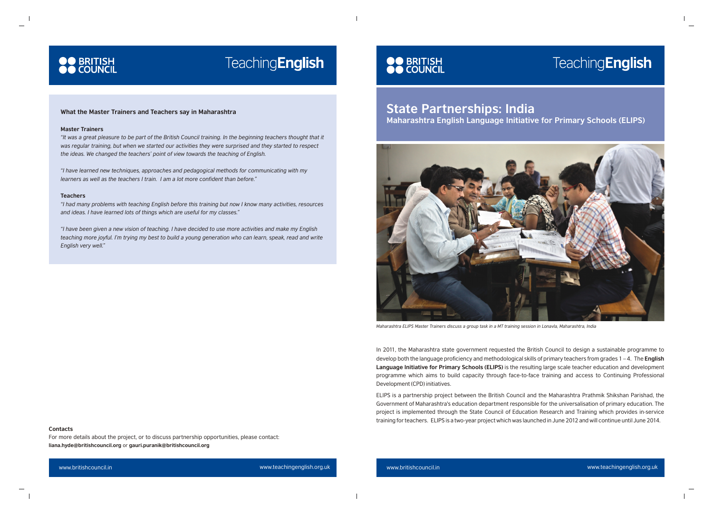### **TeachingEnglish**

### **What the Master Trainers and Teachers say in Maharashtra**

### **Master Trainers**

**OO** BRITISH<br>**OO** COUNCIL

*"It was a great pleasure to be part of the British Council training. In the beginning teachers thought that it was regular training, but when we started our activities they were surprised and they started to respect the ideas. We changed the teachers' point of view towards the teaching of English.*

*"I have learned new techniques, approaches and pedagogical methods for communicating with my learners as well as the teachers I train. I am a lot more confident than before."* 

#### **Teachers**

*"I had many problems with teaching English before this training but now I know many activities, resources and ideas. I have learned lots of things which are useful for my classes."*

*"I have been given a new vision of teaching. I have decided to use more activities and make my English teaching more joyful. I'm trying my best to build a young generation who can learn, speak, read and write English very well."*

## **OO** BRITISH<br>**OO** COUNCIL

www.britishcouncil.in www.teachingenglish.org.uk www.britishcouncil.in www.teachingenglish.org.uk



*Maharashtra ELIPS Master Trainers discuss a group task in a MT training session in Lonavla, Maharashtra, India*

In 2011, the Maharashtra state government requested the British Council to design a sustainable programme to develop both the language proficiency and methodological skills of primary teachers from grades 1 – 4. The **English Language Initiative for Primary Schools (ELIPS)** is the resulting large scale teacher education and development programme which aims to build capacity through face-to-face training and access to Continuing Professional Development (CPD) initiatives.

ELIPS is a partnership project between the British Council and the Maharashtra Prathmik Shikshan Parishad, the Government of Maharashtra's education department responsible for the universalisation of primary education. The project is implemented through the State Council of Education Research and Training which provides in-service training for teachers. ELIPS is a two-year project which was launched in June 2012 and will continue until June 2014.

### **Contacts**

For more details about the project, or to discuss partnership opportunities, please contact: **liana.hyde@britishcouncil.org** or **gauri.puranik@britishcouncil.org**

## **TeachingEnglish**

### **State Partnerships: India Maharashtra English Language Initiative for Primary Schools (ELIPS)**